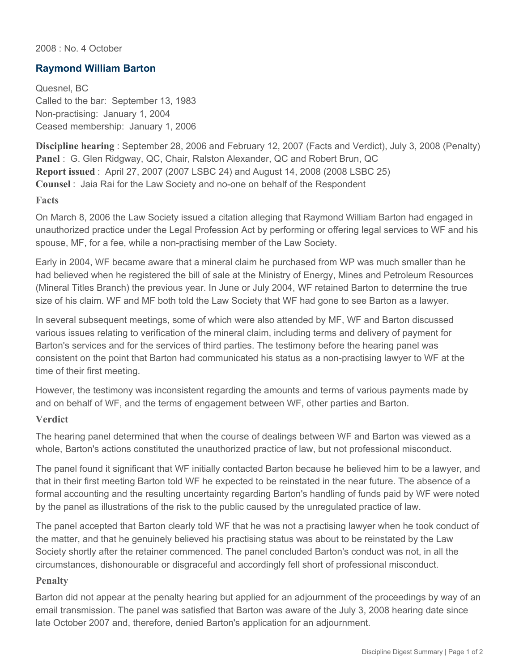2008 : No. 4 October

## **Raymond William Barton**

Quesnel, BC Called to the bar: September 13, 1983 Non-practising: January 1, 2004 Ceased membership: January 1, 2006

**Discipline hearing** : September 28, 2006 and February 12, 2007 (Facts and Verdict), July 3, 2008 (Penalty) **Panel** : G. Glen Ridgway, QC, Chair, Ralston Alexander, QC and Robert Brun, QC **Report issued** : April 27, 2007 (2007 LSBC 24) and August 14, 2008 (2008 LSBC 25) **Counsel** : Jaia Rai for the Law Society and no-one on behalf of the Respondent

## **Facts**

On March 8, 2006 the Law Society issued a citation alleging that Raymond William Barton had engaged in unauthorized practice under the Legal Profession Act by performing or offering legal services to WF and his spouse, MF, for a fee, while a non-practising member of the Law Society.

Early in 2004, WF became aware that a mineral claim he purchased from WP was much smaller than he had believed when he registered the bill of sale at the Ministry of Energy, Mines and Petroleum Resources (Mineral Titles Branch) the previous year. In June or July 2004, WF retained Barton to determine the true size of his claim. WF and MF both told the Law Society that WF had gone to see Barton as a lawyer.

In several subsequent meetings, some of which were also attended by MF, WF and Barton discussed various issues relating to verification of the mineral claim, including terms and delivery of payment for Barton's services and for the services of third parties. The testimony before the hearing panel was consistent on the point that Barton had communicated his status as a non-practising lawyer to WF at the time of their first meeting.

However, the testimony was inconsistent regarding the amounts and terms of various payments made by and on behalf of WF, and the terms of engagement between WF, other parties and Barton.

## **Verdict**

The hearing panel determined that when the course of dealings between WF and Barton was viewed as a whole, Barton's actions constituted the unauthorized practice of law, but not professional misconduct.

The panel found it significant that WF initially contacted Barton because he believed him to be a lawyer, and that in their first meeting Barton told WF he expected to be reinstated in the near future. The absence of a formal accounting and the resulting uncertainty regarding Barton's handling of funds paid by WF were noted by the panel as illustrations of the risk to the public caused by the unregulated practice of law.

The panel accepted that Barton clearly told WF that he was not a practising lawyer when he took conduct of the matter, and that he genuinely believed his practising status was about to be reinstated by the Law Society shortly after the retainer commenced. The panel concluded Barton's conduct was not, in all the circumstances, dishonourable or disgraceful and accordingly fell short of professional misconduct.

## **Penalty**

Barton did not appear at the penalty hearing but applied for an adjournment of the proceedings by way of an email transmission. The panel was satisfied that Barton was aware of the July 3, 2008 hearing date since late October 2007 and, therefore, denied Barton's application for an adjournment.